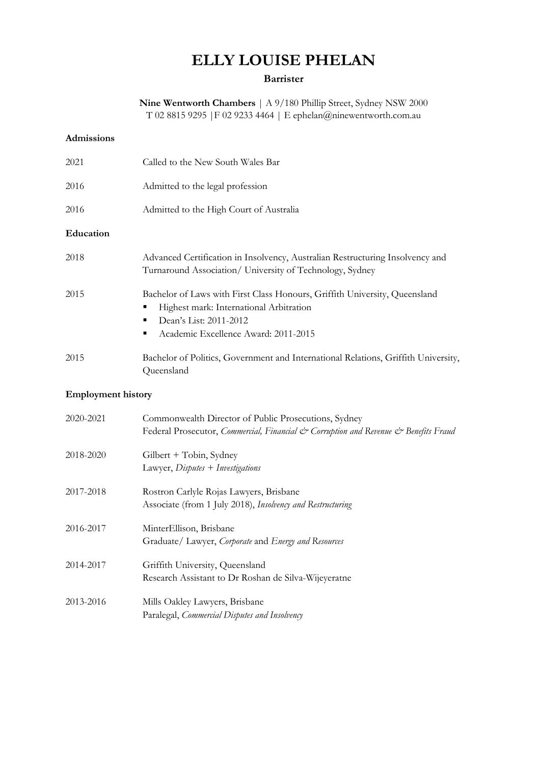# **ELLY LOUISE PHELAN**

## **Barrister**

**Nine Wentworth Chambers** | A 9/180 Phillip Street, Sydney NSW 2000 T 02 8815 9295 |F 02 9233 4464 | E ephelan@ninewentworth.com.au

## **Admissions**

| 2021      | Called to the New South Wales Bar                                                                                                                                                            |
|-----------|----------------------------------------------------------------------------------------------------------------------------------------------------------------------------------------------|
| 2016      | Admitted to the legal profession                                                                                                                                                             |
| 2016      | Admitted to the High Court of Australia                                                                                                                                                      |
| Education |                                                                                                                                                                                              |
| 2018      | Advanced Certification in Insolvency, Australian Restructuring Insolvency and<br>Turnaround Association/ University of Technology, Sydney                                                    |
| 2015      | Bachelor of Laws with First Class Honours, Griffith University, Queensland<br>Highest mark: International Arbitration<br>Dean's List: 2011-2012<br>Academic Excellence Award: 2011-2015<br>п |
| 2015      | Bachelor of Politics, Government and International Relations, Griffith University,<br>Queensland                                                                                             |

# **Employment history**

| 2020-2021 | Commonwealth Director of Public Prosecutions, Sydney<br>Federal Prosecutor, Commercial, Financial & Corruption and Revenue & Benefits Fraud |
|-----------|---------------------------------------------------------------------------------------------------------------------------------------------|
| 2018-2020 | Gilbert + Tobin, Sydney<br>Lawyer, $Disputes + Investigations$                                                                              |
| 2017-2018 | Rostron Carlyle Rojas Lawyers, Brisbane<br>Associate (from 1 July 2018), Insolvency and Restructuring                                       |
| 2016-2017 | MinterEllison, Brisbane<br>Graduate/ Lawyer, Corporate and Energy and Resources                                                             |
| 2014-2017 | Griffith University, Queensland<br>Research Assistant to Dr Roshan de Silva-Wijeyeratne                                                     |
| 2013-2016 | Mills Oakley Lawyers, Brisbane<br>Paralegal, <i>Commercial Disputes and Insolvency</i>                                                      |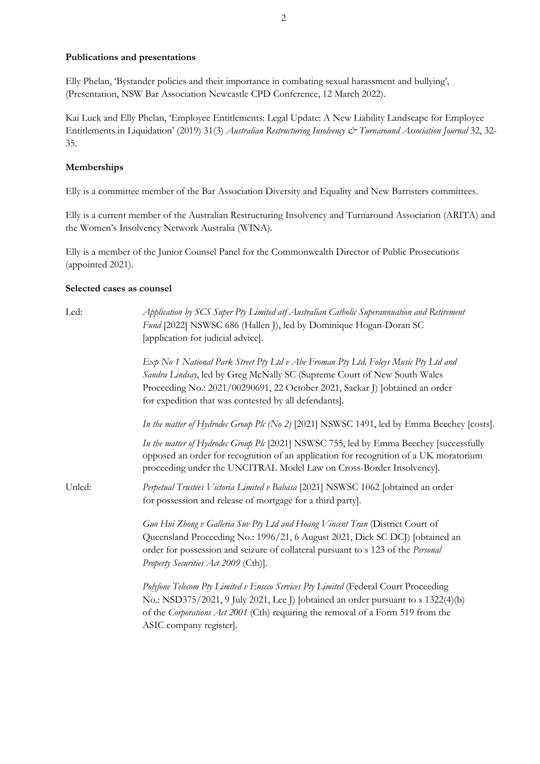#### **Publications and presentations**

Elly Phelan, 'Bystander policies and their importance in combating sexual harassment and bullying', (Presentation, NSW Bar Association Newcastle CPD Conference, 12 March 2022).

Kai Luck and Elly Phelan, 'Employee Entitlements: Legal Update: A New Liability Landscape for Employee Entitlements in Liquidation' (2019) 31(3) *Australian Restructuring Insolvency & Turnaround Association Journal* 32, 32- 35.

#### **Memberships**

Elly is a committee member of the Bar Association Diversity and Equality and New Barristers committees.

Elly is a current member of the Australian Restructuring Insolvency and Turnaround Association (ARITA) and the Women's Insolvency Network Australia (WINA).

Elly is a member of the Junior Counsel Panel for the Commonwealth Director of Public Prosecutions (appointed 2021).

#### **Selected cases as counsel**

| Led:   | Application by SCS Super Pty Limited atf Australian Catholic Superannuation and Retirement<br>Fund [2022] NSWSC 686 (Hallen J), led by Dominique Hogan-Doran SC<br>[application for judicial advice].                                                                                                     |
|--------|-----------------------------------------------------------------------------------------------------------------------------------------------------------------------------------------------------------------------------------------------------------------------------------------------------------|
|        | Exp No 1 National Park Street Pty Ltd v Abe Froman Pty Ltd, Foleys Music Pty Ltd and<br>Sandra Lindsay, led by Greg McNally SC (Supreme Court of New South Wales<br>Proceeding No.: 2021/00290691, 22 October 2021, Sackar J) [obtained an order<br>for expedition that was contested by all defendants]. |
|        | In the matter of Hydrodec Group Plc (No 2) [2021] NSWSC 1491, led by Emma Beechey [costs].                                                                                                                                                                                                                |
|        | In the matter of Hydrodec Group Plc [2021] NSWSC 755, led by Emma Beechey [successfully<br>opposed an order for recognition of an application for recognition of a UK moratorium<br>proceeding under the UNCITRAL Model Law on Cross-Border Insolvency].                                                  |
| Unled: | Perpetual Trustees Victoria Limited v Babasa [2021] NSWSC 1062 [obtained an order<br>for possession and release of mortgage for a third party].                                                                                                                                                           |
|        | Guo Hui Zhong v Galleria Suv Pty Ltd and Hoang Vincent Tran (District Court of<br>Queensland Proceeding No.: 1996/21, 6 August 2021, Dick SC DCJ) [obtained an<br>order for possession and seizure of collateral pursuant to s 123 of the Personal<br>Property Securities Act 2009 (Cth)].                |
|        | Polyfone Telecom Pty Limited v Enseco Services Pty Limited (Federal Court Proceeding<br>No.: NSD375/2021, 9 July 2021, Lee J) [obtained an order pursuant to s 1322(4)(b)<br>of the Corporations Act 2001 (Cth) requiring the removal of a Form 519 from the<br>ASIC company register].                   |